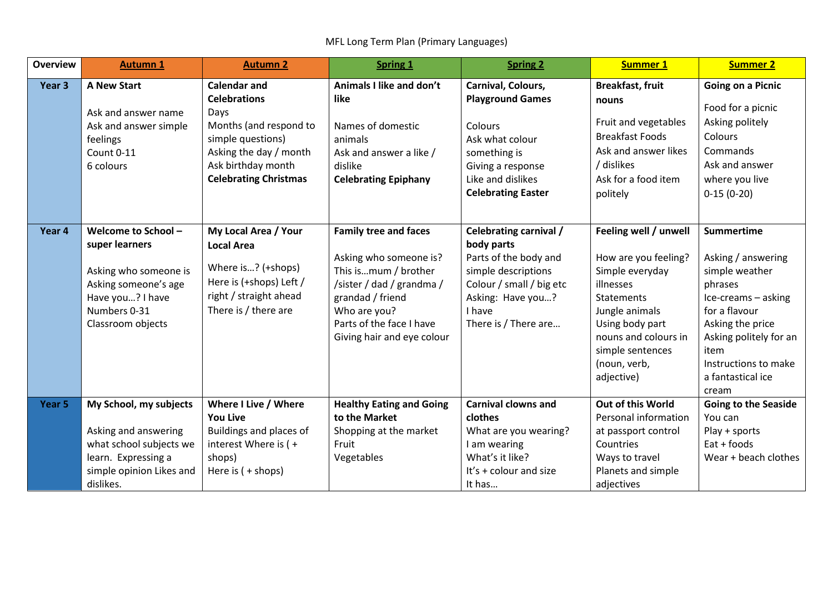MFL Long Term Plan (Primary Languages)

| <b>Overview</b>   | <b>Autumn 1</b>                                                                                                                                 | <b>Autumn 2</b>                                                                                                                                                                   | <b>Spring 1</b>                                                                                                                                                                                           | <b>Spring 2</b>                                                                                                                                                         | <b>Summer 1</b>                                                                                                                                                                                                   | <b>Summer 2</b>                                                                                                                                                                                                          |
|-------------------|-------------------------------------------------------------------------------------------------------------------------------------------------|-----------------------------------------------------------------------------------------------------------------------------------------------------------------------------------|-----------------------------------------------------------------------------------------------------------------------------------------------------------------------------------------------------------|-------------------------------------------------------------------------------------------------------------------------------------------------------------------------|-------------------------------------------------------------------------------------------------------------------------------------------------------------------------------------------------------------------|--------------------------------------------------------------------------------------------------------------------------------------------------------------------------------------------------------------------------|
| Year <sub>3</sub> | <b>A New Start</b><br>Ask and answer name<br>Ask and answer simple<br>feelings<br>Count 0-11<br>6 colours                                       | <b>Calendar and</b><br><b>Celebrations</b><br>Days<br>Months (and respond to<br>simple questions)<br>Asking the day / month<br>Ask birthday month<br><b>Celebrating Christmas</b> | Animals I like and don't<br>like<br>Names of domestic<br>animals<br>Ask and answer a like /<br>dislike<br><b>Celebrating Epiphany</b>                                                                     | Carnival, Colours,<br><b>Playground Games</b><br>Colours<br>Ask what colour<br>something is<br>Giving a response<br>Like and dislikes<br><b>Celebrating Easter</b>      | <b>Breakfast, fruit</b><br>nouns<br>Fruit and vegetables<br><b>Breakfast Foods</b><br>Ask and answer likes<br>/ dislikes<br>Ask for a food item<br>politely                                                       | <b>Going on a Picnic</b><br>Food for a picnic<br>Asking politely<br>Colours<br>Commands<br>Ask and answer<br>where you live<br>$0-15(0-20)$                                                                              |
| Year 4            | Welcome to School -<br>super learners<br>Asking who someone is<br>Asking someone's age<br>Have you? I have<br>Numbers 0-31<br>Classroom objects | My Local Area / Your<br><b>Local Area</b><br>Where is? (+shops)<br>Here is (+shops) Left /<br>right / straight ahead<br>There is / there are                                      | <b>Family tree and faces</b><br>Asking who someone is?<br>This ismum / brother<br>/sister / dad / grandma /<br>grandad / friend<br>Who are you?<br>Parts of the face I have<br>Giving hair and eye colour | Celebrating carnival /<br>body parts<br>Parts of the body and<br>simple descriptions<br>Colour / small / big etc<br>Asking: Have you?<br>I have<br>There is / There are | Feeling well / unwell<br>How are you feeling?<br>Simple everyday<br>illnesses<br><b>Statements</b><br>Jungle animals<br>Using body part<br>nouns and colours in<br>simple sentences<br>(noun, verb,<br>adjective) | <b>Summertime</b><br>Asking / answering<br>simple weather<br>phrases<br>Ice-creams - asking<br>for a flavour<br>Asking the price<br>Asking politely for an<br>item<br>Instructions to make<br>a fantastical ice<br>cream |
| Year 5            | My School, my subjects<br>Asking and answering<br>what school subjects we<br>learn. Expressing a<br>simple opinion Likes and<br>dislikes.       | Where I Live / Where<br><b>You Live</b><br>Buildings and places of<br>interest Where is (+<br>shops)<br>Here is $( +$ shops)                                                      | <b>Healthy Eating and Going</b><br>to the Market<br>Shopping at the market<br>Fruit<br>Vegetables                                                                                                         | <b>Carnival clowns and</b><br>clothes<br>What are you wearing?<br>I am wearing<br>What's it like?<br>It's + colour and size<br>It has                                   | Out of this World<br>Personal information<br>at passport control<br>Countries<br>Ways to travel<br>Planets and simple<br>adjectives                                                                               | <b>Going to the Seaside</b><br>You can<br>Play + sports<br>Eat + foods<br>Wear + beach clothes                                                                                                                           |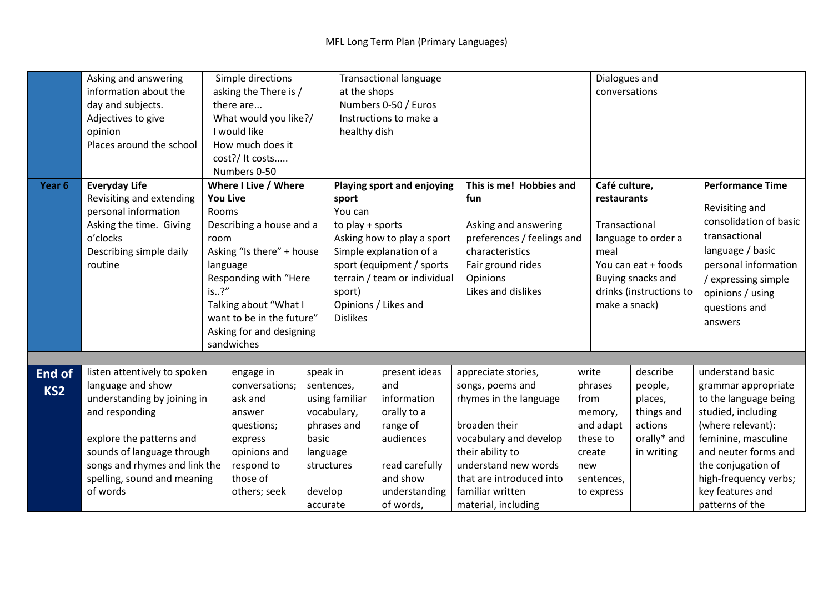|                 | Asking and answering                      | Simple directions                                        |                           |                            | <b>Transactional language</b> |                            |                          |       | Dialogues and       |                         |                         |
|-----------------|-------------------------------------------|----------------------------------------------------------|---------------------------|----------------------------|-------------------------------|----------------------------|--------------------------|-------|---------------------|-------------------------|-------------------------|
|                 | information about the                     | asking the There is /                                    |                           |                            | at the shops                  |                            |                          |       | conversations       |                         |                         |
|                 | day and subjects.                         | there are                                                |                           | Numbers 0-50 / Euros       |                               |                            |                          |       |                     |                         |                         |
|                 | Adjectives to give                        | What would you like?/                                    |                           | Instructions to make a     |                               |                            |                          |       |                     |                         |                         |
|                 | opinion                                   |                                                          | I would like              |                            | healthy dish                  |                            |                          |       |                     |                         |                         |
|                 | Places around the school                  | How much does it                                         |                           |                            |                               |                            |                          |       |                     |                         |                         |
|                 |                                           |                                                          | cost?/ It costs           |                            |                               |                            |                          |       |                     |                         |                         |
|                 |                                           | Numbers 0-50                                             |                           |                            |                               |                            |                          |       |                     |                         |                         |
| Year 6          | <b>Everyday Life</b>                      | Where I Live / Where                                     |                           |                            | Playing sport and enjoying    |                            | This is me! Hobbies and  |       | Café culture,       |                         | <b>Performance Time</b> |
|                 | Revisiting and extending                  | <b>You Live</b>                                          |                           |                            | sport                         |                            | fun                      |       | restaurants         |                         |                         |
|                 | personal information                      | Rooms<br>Describing a house and a                        |                           |                            | You can<br>to play + sports   |                            | Asking and answering     |       | Transactional       |                         | Revisiting and          |
|                 | Asking the time. Giving                   |                                                          |                           |                            |                               |                            |                          |       |                     |                         | consolidation of basic  |
|                 | o'clocks                                  | room                                                     |                           | Asking how to play a sport |                               | preferences / feelings and |                          |       | language to order a | transactional           |                         |
|                 | Describing simple daily                   | Asking "Is there" + house                                |                           | Simple explanation of a    |                               | characteristics            |                          | meal  |                     | language / basic        |                         |
|                 | routine                                   | language                                                 |                           |                            | sport (equipment / sports     |                            | Fair ground rides        |       | You can eat + foods |                         | personal information    |
|                 |                                           |                                                          | Responding with "Here     |                            | terrain / team or individual  |                            | Opinions                 |       | Buying snacks and   | / expressing simple     |                         |
|                 |                                           | is?"                                                     |                           |                            | sport)                        |                            | Likes and dislikes       |       |                     | drinks (instructions to | opinions / using        |
|                 |                                           |                                                          | Talking about "What I     |                            | Opinions / Likes and          |                            |                          |       | make a snack)       |                         | questions and           |
|                 |                                           |                                                          | want to be in the future" |                            | <b>Dislikes</b>               |                            |                          |       |                     |                         | answers                 |
|                 |                                           | Asking for and designing                                 |                           |                            |                               |                            |                          |       |                     |                         |                         |
|                 |                                           | sandwiches                                               |                           |                            |                               |                            |                          |       |                     |                         |                         |
|                 |                                           |                                                          |                           |                            |                               |                            |                          |       |                     |                         |                         |
| <b>End of</b>   | listen attentively to spoken<br>engage in |                                                          | speak in                  |                            | present ideas                 | appreciate stories,        |                          | write | describe            | understand basic        |                         |
| KS <sub>2</sub> | language and show                         | conversations;<br>understanding by joining in<br>ask and |                           |                            | sentences,                    | and                        | songs, poems and         |       | phrases             | people,                 | grammar appropriate     |
|                 |                                           |                                                          |                           |                            | using familiar                | information                | rhymes in the language   |       | from                | places,                 | to the language being   |
|                 | and responding                            | answer                                                   |                           |                            | vocabulary,                   | orally to a                |                          |       | memory,             | things and              | studied, including      |
|                 |                                           |                                                          | questions;                |                            | phrases and                   | range of                   | broaden their            |       | and adapt           | actions                 | (where relevant):       |
|                 | explore the patterns and                  | express                                                  |                           | basic                      |                               | audiences                  | vocabulary and develop   |       | these to            | orally* and             | feminine, masculine     |
|                 | sounds of language through                | opinions and                                             |                           | language                   |                               |                            | their ability to         |       | create              | in writing              | and neuter forms and    |
|                 | songs and rhymes and link the             | respond to<br>those of                                   |                           | structures                 |                               | read carefully             | understand new words     |       | new                 |                         | the conjugation of      |
|                 | spelling, sound and meaning               |                                                          |                           |                            |                               | and show                   | that are introduced into |       | sentences,          |                         | high-frequency verbs;   |
|                 | of words                                  | others; seek                                             |                           | develop                    |                               | understanding              | familiar written         |       | to express          |                         | key features and        |
|                 |                                           |                                                          |                           | accurate                   |                               | of words,                  | material, including      |       |                     |                         | patterns of the         |